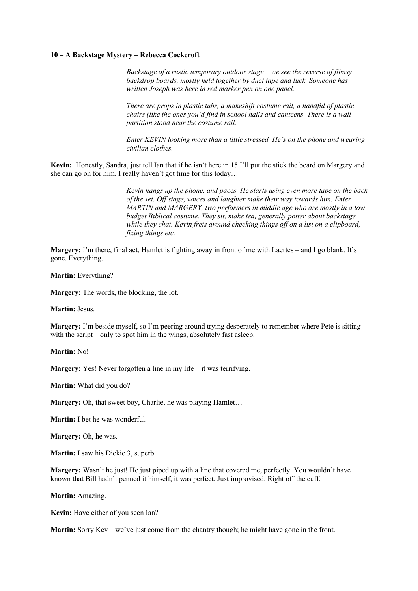## **10 – A Backstage Mystery – Rebecca Cockcroft**

*Backstage of a rustic temporary outdoor stage – we see the reverse of flimsy backdrop boards, mostly held together by duct tape and luck. Someone has written Joseph was here in red marker pen on one panel.* 

*There are props in plastic tubs, a makeshift costume rail, a handful of plastic chairs (like the ones you'd find in school halls and canteens. There is a wall partition stood near the costume rail.* 

*Enter KEVIN looking more than a little stressed. He's on the phone and wearing civilian clothes.*

**Kevin:** Honestly, Sandra, just tell Ian that if he isn't here in 15 I'll put the stick the beard on Margery and she can go on for him. I really haven't got time for this today…

> *Kevin hangs up the phone, and paces. He starts using even more tape on the back of the set. Off stage, voices and laughter make their way towards him. Enter MARTIN and MARGERY, two performers in middle age who are mostly in a low budget Biblical costume. They sit, make tea, generally potter about backstage while they chat. Kevin frets around checking things off on a list on a clipboard, fixing things etc.*

**Margery:** I'm there, final act, Hamlet is fighting away in front of me with Laertes – and I go blank. It's gone. Everything.

**Martin:** Everything?

**Margery:** The words, the blocking, the lot.

**Martin:** Jesus.

**Margery:** I'm beside myself, so I'm peering around trying desperately to remember where Pete is sitting with the script – only to spot him in the wings, absolutely fast asleep.

**Martin:** No!

**Margery:** Yes! Never forgotten a line in my life – it was terrifying.

**Martin:** What did you do?

**Margery:** Oh, that sweet boy, Charlie, he was playing Hamlet…

**Martin:** I bet he was wonderful.

**Margery:** Oh, he was.

**Martin:** I saw his Dickie 3, superb.

**Margery:** Wasn't he just! He just piped up with a line that covered me, perfectly. You wouldn't have known that Bill hadn't penned it himself, it was perfect. Just improvised. Right off the cuff.

**Martin:** Amazing.

**Kevin:** Have either of you seen Ian?

**Martin:** Sorry Kev – we've just come from the chantry though; he might have gone in the front.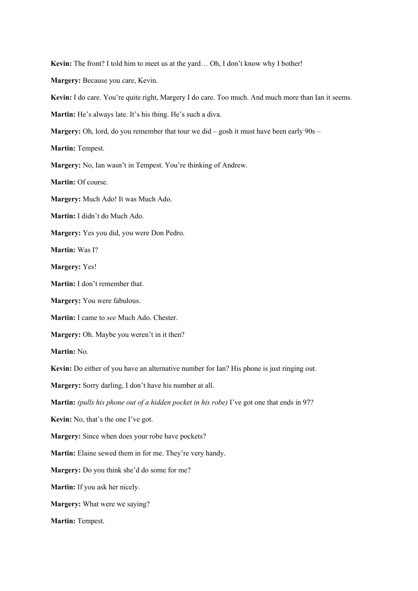**Kevin:** The front? I told him to meet us at the yard… Oh, I don't know why I bother! **Margery:** Because you care, Kevin. **Kevin:** I do care. You're quite right, Margery I do care. Too much. And much more than Ian it seems. **Martin:** He's always late. It's his thing. He's such a diva. **Margery:** Oh, lord, do you remember that tour we did – gosh it must have been early 90s – **Martin:** Tempest. **Margery:** No, Ian wasn't in Tempest. You're thinking of Andrew. **Martin:** Of course. **Margery:** Much Ado! It was Much Ado. **Martin:** I didn't do Much Ado. **Margery:** Yes you did, you were Don Pedro. **Martin:** Was I? **Margery:** Yes! **Martin:** I don't remember that. **Margery:** You were fabulous. **Martin:** I came to *see* Much Ado. Chester. **Margery:** Oh. Maybe you weren't in it then? **Martin:** No. **Kevin:** Do either of you have an alternative number for Ian? His phone is just ringing out. **Margery:** Sorry darling, I don't have his number at all. **Martin:** *(pulls his phone out of a hidden pocket in his robe)* I've got one that ends in 97? **Kevin:** No, that's the one I've got. **Margery:** Since when does your robe have pockets? **Martin:** Elaine sewed them in for me. They're very handy. **Margery:** Do you think she'd do some for me? **Martin:** If you ask her nicely. **Margery:** What were we saying? **Martin:** Tempest.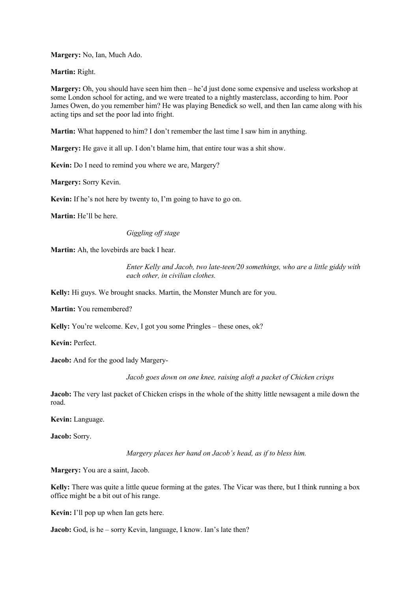**Margery:** No, Ian, Much Ado.

**Martin:** Right.

**Margery:** Oh, you should have seen him then – he'd just done some expensive and useless workshop at some London school for acting, and we were treated to a nightly masterclass, according to him. Poor James Owen, do you remember him? He was playing Benedick so well, and then Ian came along with his acting tips and set the poor lad into fright.

**Martin:** What happened to him? I don't remember the last time I saw him in anything.

**Margery:** He gave it all up. I don't blame him, that entire tour was a shit show.

**Kevin:** Do I need to remind you where we are, Margery?

**Margery:** Sorry Kevin.

**Kevin:** If he's not here by twenty to, I'm going to have to go on.

**Martin:** He'll be here.

*Giggling off stage*

**Martin:** Ah, the lovebirds are back I hear.

*Enter Kelly and Jacob, two late-teen/20 somethings, who are a little giddy with each other, in civilian clothes.*

**Kelly:** Hi guys. We brought snacks. Martin, the Monster Munch are for you.

**Martin:** You remembered?

Kelly: You're welcome. Kev, I got you some Pringles – these ones, ok?

**Kevin:** Perfect.

**Jacob:** And for the good lady Margery-

*Jacob goes down on one knee, raising aloft a packet of Chicken crisps*

**Jacob:** The very last packet of Chicken crisps in the whole of the shitty little newsagent a mile down the road.

**Kevin:** Language.

**Jacob:** Sorry.

*Margery places her hand on Jacob's head, as if to bless him.*

**Margery:** You are a saint, Jacob.

**Kelly:** There was quite a little queue forming at the gates. The Vicar was there, but I think running a box office might be a bit out of his range.

**Kevin:** I'll pop up when Ian gets here.

**Jacob:** God, is he – sorry Kevin, language, I know. Ian's late then?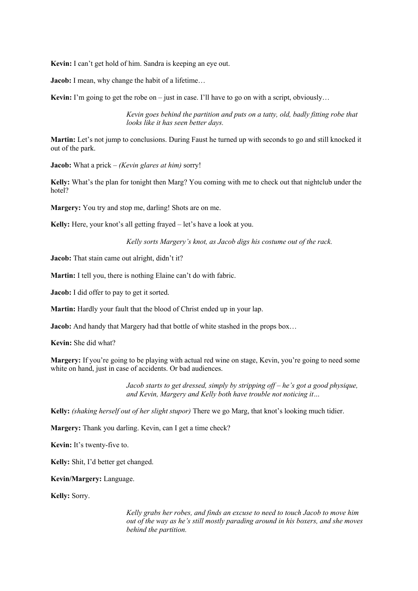**Kevin:** I can't get hold of him. Sandra is keeping an eye out.

**Jacob:** I mean, why change the habit of a lifetime...

**Kevin:** I'm going to get the robe on – just in case. I'll have to go on with a script, obviously…

*Kevin goes behind the partition and puts on a tatty, old, badly fitting robe that looks like it has seen better days.*

**Martin:** Let's not jump to conclusions. During Faust he turned up with seconds to go and still knocked it out of the park.

**Jacob:** What a prick – *(Kevin glares at him)* sorry!

**Kelly:** What's the plan for tonight then Marg? You coming with me to check out that nightclub under the hotel?

**Margery:** You try and stop me, darling! Shots are on me.

**Kelly:** Here, your knot's all getting frayed – let's have a look at you.

*Kelly sorts Margery's knot, as Jacob digs his costume out of the rack.*

**Jacob:** That stain came out alright, didn't it?

**Martin:** I tell you, there is nothing Elaine can't do with fabric.

**Jacob:** I did offer to pay to get it sorted.

**Martin:** Hardly your fault that the blood of Christ ended up in your lap.

**Jacob:** And handy that Margery had that bottle of white stashed in the props box…

**Kevin:** She did what?

**Margery:** If you're going to be playing with actual red wine on stage, Kevin, you're going to need some white on hand, just in case of accidents. Or bad audiences.

> *Jacob starts to get dressed, simply by stripping off – he's got a good physique, and Kevin, Margery and Kelly both have trouble not noticing it…*

**Kelly:** *(shaking herself out of her slight stupor)* There we go Marg, that knot's looking much tidier.

**Margery:** Thank you darling. Kevin, can I get a time check?

**Kevin:** It's twenty-five to.

**Kelly:** Shit, I'd better get changed.

**Kevin/Margery:** Language.

**Kelly:** Sorry.

*Kelly grabs her robes, and finds an excuse to need to touch Jacob to move him out of the way as he's still mostly parading around in his boxers, and she moves behind the partition.*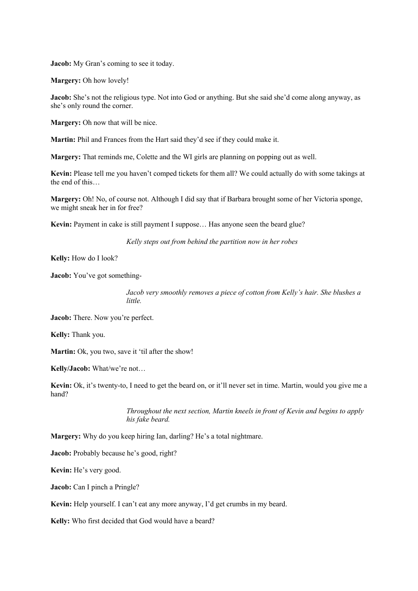**Jacob:** My Gran's coming to see it today.

**Margery:** Oh how lovely!

**Jacob:** She's not the religious type. Not into God or anything. But she said she'd come along anyway, as she's only round the corner.

**Margery:** Oh now that will be nice.

**Martin:** Phil and Frances from the Hart said they'd see if they could make it.

**Margery:** That reminds me, Colette and the WI girls are planning on popping out as well.

**Kevin:** Please tell me you haven't comped tickets for them all? We could actually do with some takings at the end of this…

**Margery:** Oh! No, of course not. Although I did say that if Barbara brought some of her Victoria sponge, we might sneak her in for free?

**Kevin:** Payment in cake is still payment I suppose… Has anyone seen the beard glue?

*Kelly steps out from behind the partition now in her robes*

**Kelly:** How do I look?

**Jacob:** You've got something-

*Jacob very smoothly removes a piece of cotton from Kelly's hair. She blushes a little.*

**Jacob:** There. Now you're perfect.

**Kelly:** Thank you.

Martin: Ok, you two, save it 'til after the show!

**Kelly/Jacob:** What/we're not…

**Kevin:** Ok, it's twenty-to, I need to get the beard on, or it'll never set in time. Martin, would you give me a hand?

> *Throughout the next section, Martin kneels in front of Kevin and begins to apply his fake beard.*

**Margery:** Why do you keep hiring Ian, darling? He's a total nightmare.

**Jacob:** Probably because he's good, right?

**Kevin:** He's very good.

**Jacob:** Can I pinch a Pringle?

**Kevin:** Help yourself. I can't eat any more anyway, I'd get crumbs in my beard.

**Kelly:** Who first decided that God would have a beard?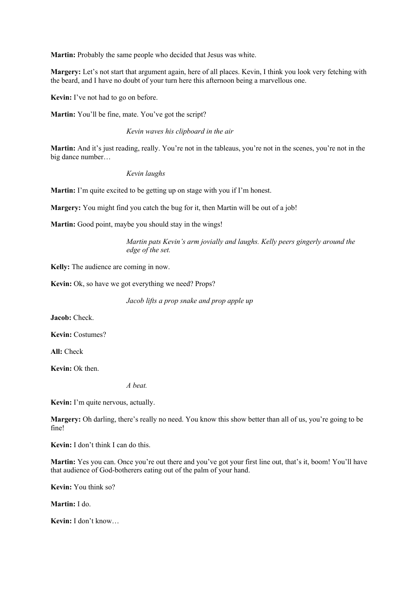**Martin:** Probably the same people who decided that Jesus was white.

**Margery:** Let's not start that argument again, here of all places. Kevin, I think you look very fetching with the beard, and I have no doubt of your turn here this afternoon being a marvellous one.

**Kevin:** I've not had to go on before.

Martin: You'll be fine, mate. You've got the script?

## *Kevin waves his clipboard in the air*

**Martin:** And it's just reading, really. You're not in the tableaus, you're not in the scenes, you're not in the big dance number…

*Kevin laughs*

**Martin:** I'm quite excited to be getting up on stage with you if I'm honest.

**Margery:** You might find you catch the bug for it, then Martin will be out of a job!

**Martin:** Good point, maybe you should stay in the wings!

*Martin pats Kevin's arm jovially and laughs. Kelly peers gingerly around the edge of the set.*

**Kelly:** The audience are coming in now.

**Kevin:** Ok, so have we got everything we need? Props?

*Jacob lifts a prop snake and prop apple up*

**Jacob:** Check.

**Kevin:** Costumes?

**All:** Check

**Kevin:** Ok then.

*A beat.*

**Kevin:** I'm quite nervous, actually.

**Margery:** Oh darling, there's really no need. You know this show better than all of us, you're going to be fine!

**Kevin:** I don't think I can do this.

**Martin:** Yes you can. Once you're out there and you've got your first line out, that's it, boom! You'll have that audience of God-botherers eating out of the palm of your hand.

**Kevin:** You think so?

**Martin:** I do.

**Kevin:** I don't know…